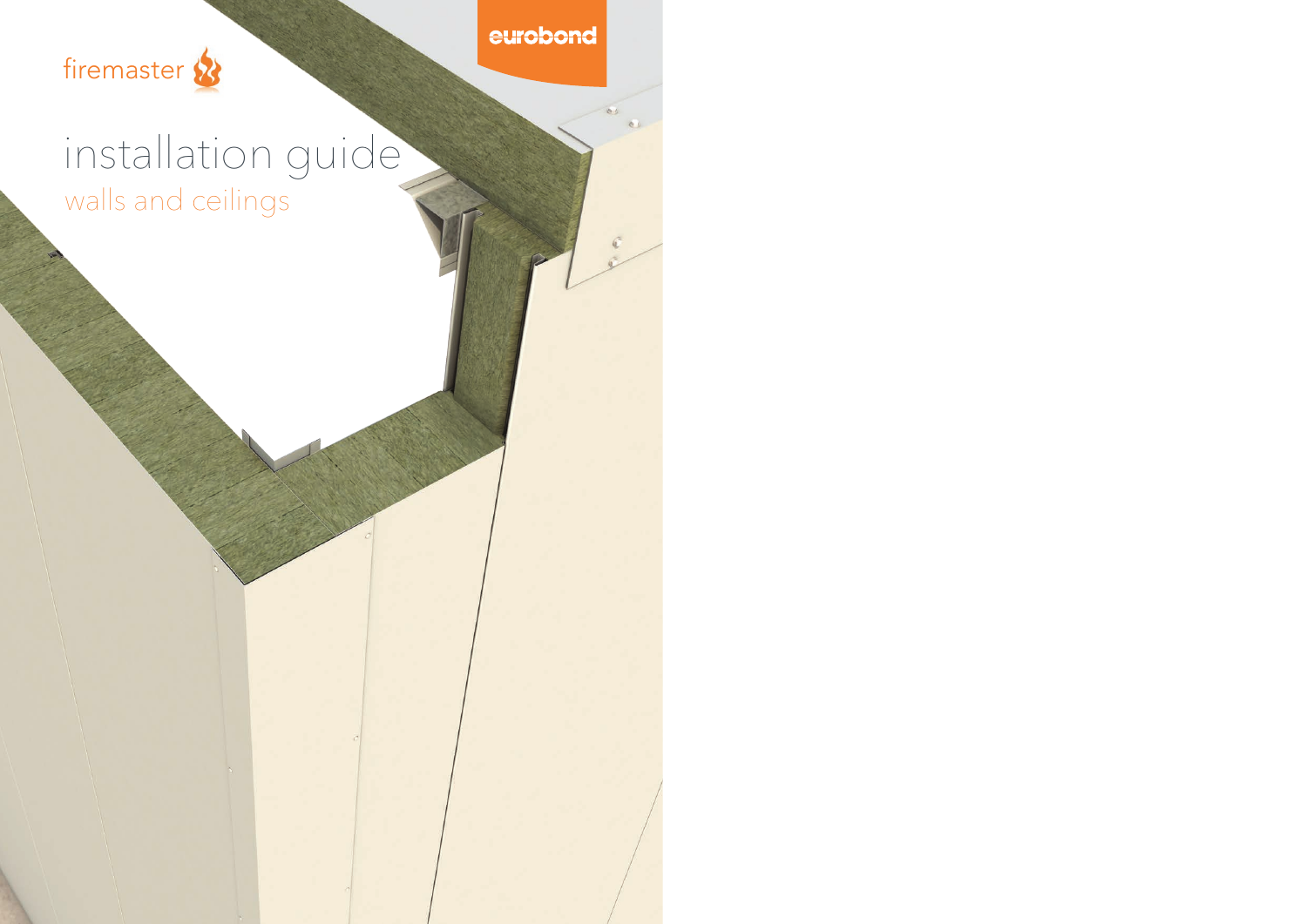

 $\mathbf{c}$ 



# installation guide walls and ceilings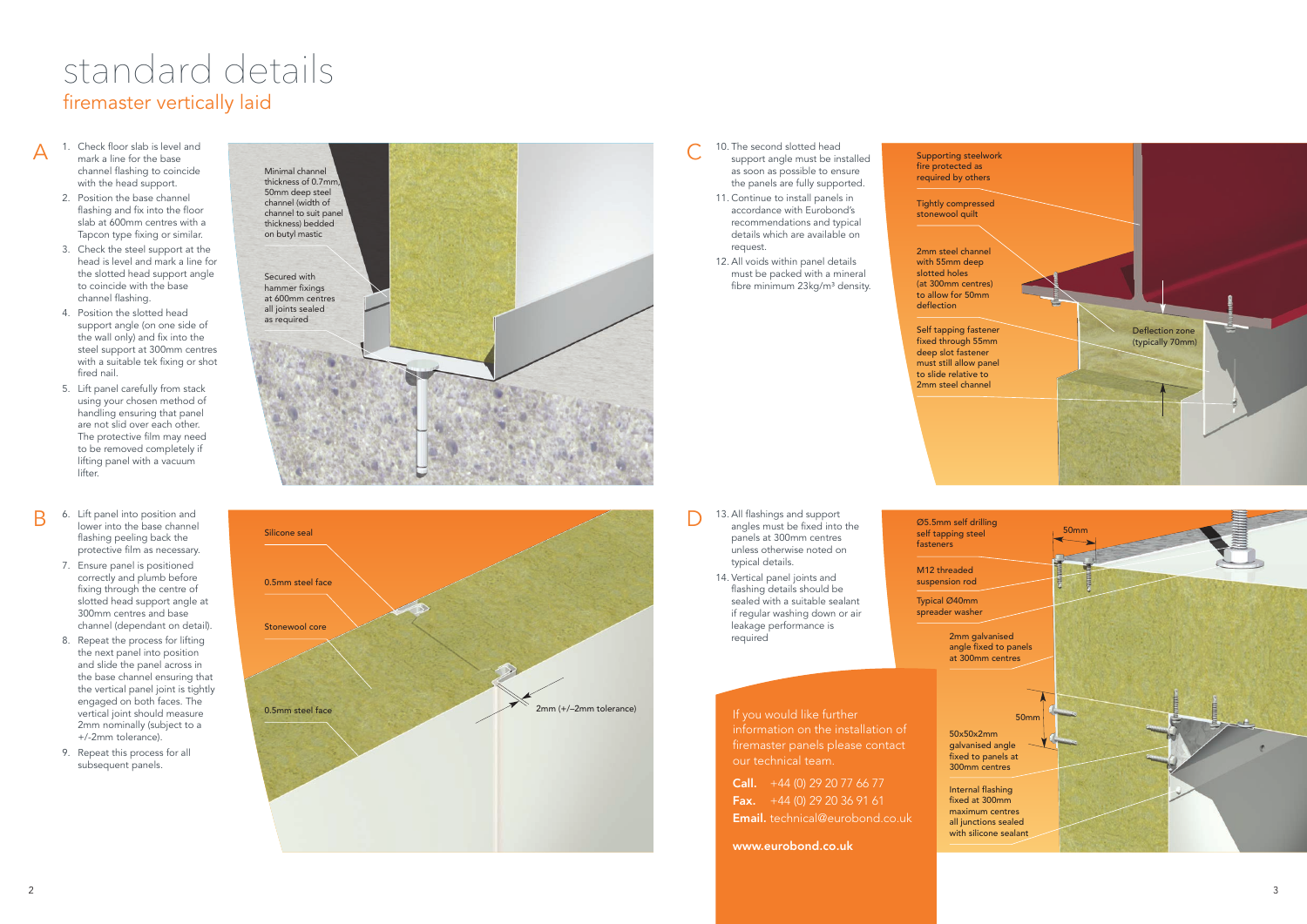- 1. Check floor slab is level and mark a line for the base channel flashing to coincide channel flashing to coir<br>with the head support.<br>Particularly
- 2. Position the base channel flashing and fix into the floor slab at 600mm centres with a Tapcon type fixing or similar.
- 3. Check the steel support at the head is level and mark a line for the slotted head support angle to coincide with the base channel flashing.
- 4. Position the slotted head support angle (on one side of the wall only) and fix into the steel support at 300mm centres with a suitable tek fixing or shot fired nail.

A<br>B

R

- 5. Lift panel carefully from stack using your chosen method of handling ensuring that panel are not slid over each other. The protective film may need to be removed completely if lifting panel with a vacuum lifter.
- 6. Lift panel into position and lower into the base channel flashing peeling back the protective film as necessary.
- 7. Ensure panel is positioned correctly and plumb before fixing through the centre of slotted head support angle at 300mm centres and base channel (dependant on detail).
- 8. Repeat the process for lifting the next panel into position and slide the panel across in the base channel ensuring that the vertical panel joint is tightly engaged on both faces. The vertical joint should measure 2mm nominally (subject to a +/-2mm tolerance).
- 9. Repeat this process for all subsequent panels.

**Call.**  $+44$  (0) 29 20 77 66 77 Fax.  $+44(0)$  29 20 36 91 61 Email. technical@eurobond.co.uk

13. All flashings and support angles must be fixed into the panels at 300mm centres unless otherwise noted on typical details.

14. Vertical panel joints and flashing details should be sealed with a suitable sealant if regular washing down or air leakage performance is required





- C<br>D<br>D<br>D 10. The second slotted head support angle must be installed as soon as possible to ensure the panels are fully supported.
	- 11. Continue to install panels in accordance with Eurobond's recommendations and typical details which are available on request.
	- 12. All voids within panel details must be packed with a mineral fibre minimum 23kg/m<sup>3</sup> density.

Supporting steelwork fire protected as required by others



M12 threaded suspension rod



fasteners

50x50x2mm galvanised angle fixed to panels at 300mm centres

fixed at 300mm maximum centres

Typical Ø40mm spreader washer

Tightly compressed stonewool quilt

2mm steel channel with 55mm deep slotted holes (at 300mm centres) to allow for 50mm deflection



Self tapping fastener fixed through 55mm deep slot fastener must still allow panel to slide relative to 2mm steel channel

## firemaster vertically laid standard details

If you would like further information on the installation of firemaster panels please contact our technical team.

www.eurobond.co.uk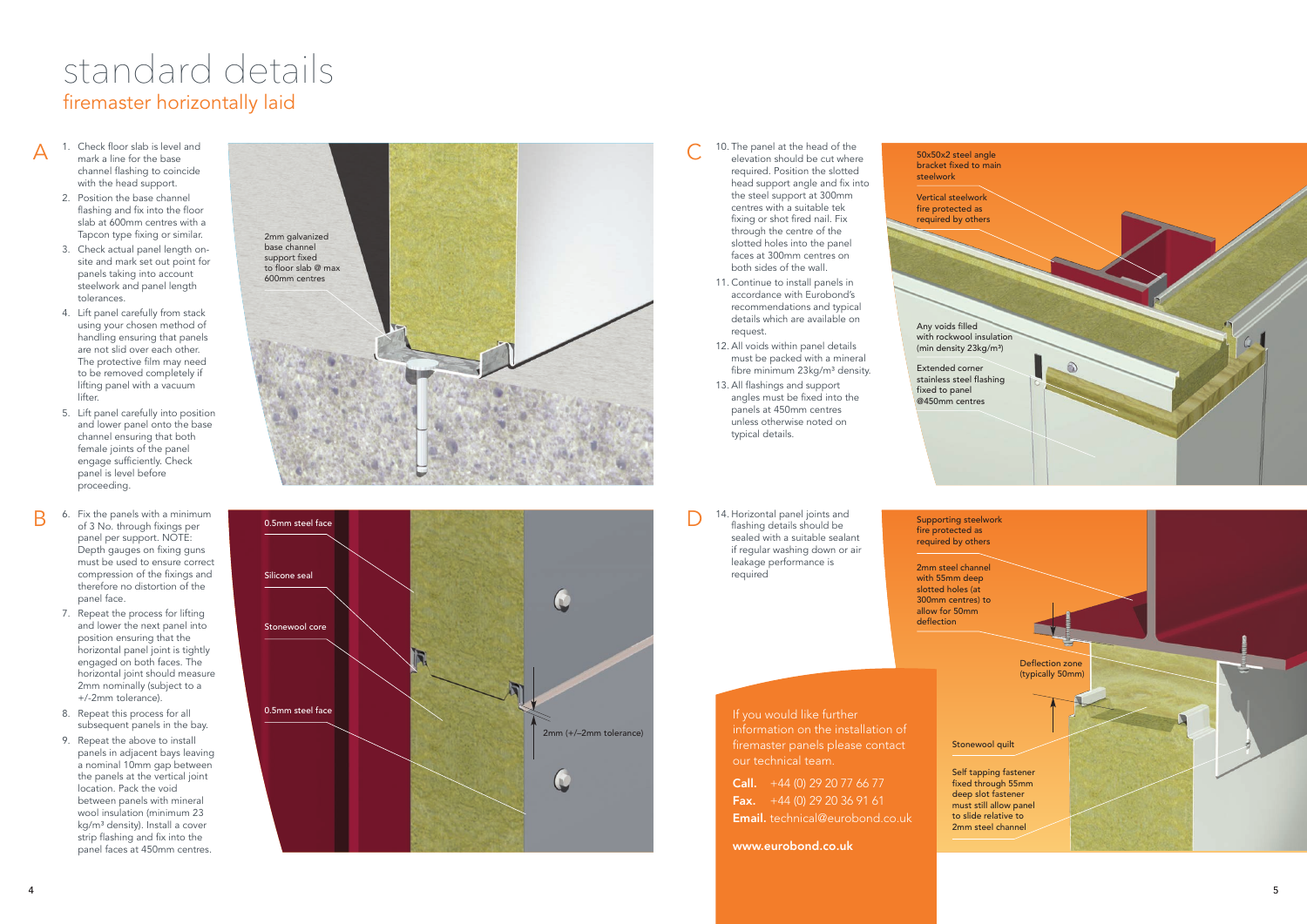

Supporting steelwork fire protected as required by others

Vertical steelwork fire protected as required by others

2mm steel channel with 55mm deep slotted holes (at 300mm centres) to allow for 50mm deflection

50x50x2 steel angle bracket fixed to main steelwork

**Call.**  $+44$  (0) 29 20 77 66 77 Fax.  $+44(0)$  29 20 36 91 61 Email. technical@eurobond.co.uk

Any voids filled with rockwool insulation (min density 23kg/m³)

Extended corner stainless steel flashing fixed to panel @450mm centres

### firemaster horizontally laid standard details

If you would like further information on the installation of firemaster panels please contact our technical team.

- channel flashing to coil<br>with the head support. 1. Check floor slab is level and mark a line for the base channel flashing to coincide
- 2. Position the base channel flashing and fix into the floor slab at 600mm centres with a Tapcon type fixing or similar.
- 3. Check actual panel length onsite and mark set out point for panels taking into account steelwork and panel length tolerances.
- 4. Lift panel carefully from stack using your chosen method of handling ensuring that panels are not slid over each other. The protective film may need to be removed completely if lifting panel with a vacuum lifter.

A<br>B

www.eurobond.co.uk

C<br>D<br>D<br>D 10. The panel at the head of the elevation should be cut where required. Position the slotted head support angle and fix into the steel support at 300mm centres with a suitable tek fixing or shot fired nail. Fix through the centre of the slotted holes into the panel

14. Horizontal panel joints and flashing details should be sealed with a suitable sealant if regular washing down or air leakage performance is required



- 5. Lift panel carefully into position and lower panel onto the base channel ensuring that both female joints of the panel engage sufficiently. Check panel is level before proceeding.
- 6. Fix the panels with a minimum of 3 No. through fixings per panel per support. NOTE: Depth gauges on fixing guns must be used to ensure correct compression of the fixings and therefore no distortion of the panel face.
- 7. Repeat the process for lifting and lower the next panel into position ensuring that the horizontal panel joint is tightly engaged on both faces. The horizontal joint should measure 2mm nominally (subject to a +/-2mm tolerance).
- 8. Repeat this process for all subsequent panels in the bay.
- 9. Repeat the above to install panels in adjacent bays leaving a nominal 10mm gap between the panels at the vertical joint location. Pack the void between panels with mineral wool insulation (minimum 23 kg/m<sup>3</sup> density). Install a cover strip flashing and fix into the panel faces at 450mm centres.

faces at 300mm centres on

both sides of the wall. 11. Continue to install panels in accordance with Eurobond's recommendations and typical details which are available on request.

- 12. All voids within panel details must be packed with a mineral fibre minimum 23kg/m<sup>3</sup> density.
- 13. All flashings and support angles must be fixed into the panels at 450mm centres unless otherwise noted on typical details.



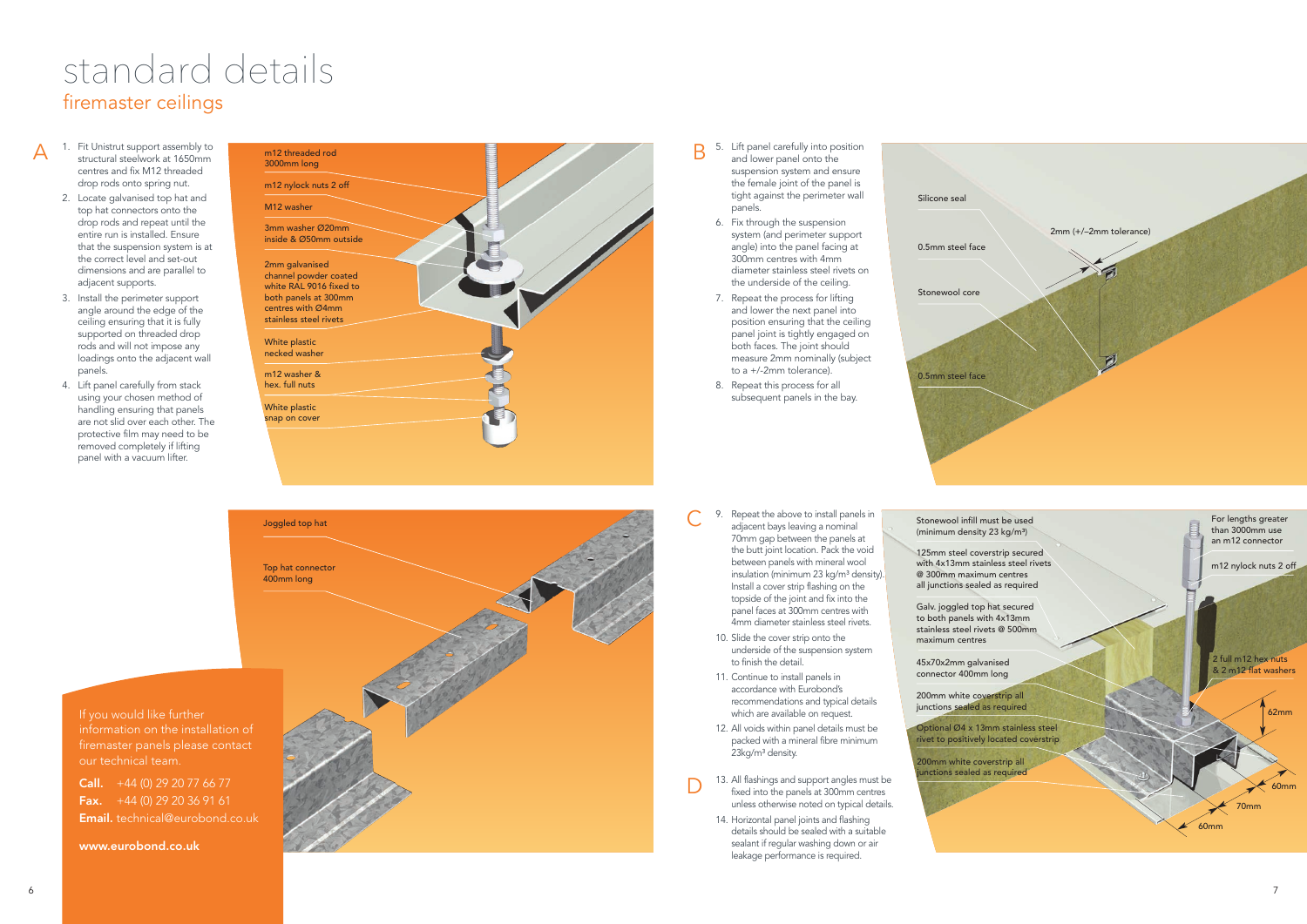



centres and fix M12 threac<br>drop rods onto spring nut.<br>. structural steelwork at 1650mm centres and fix M12 threaded

6

A

## firemaster ceilings standard details

- 2. Locate galvanised top hat and top hat connectors onto the drop rods and repeat until the entire run is installed. Ensure that the suspension system is at the correct level and set-out dimensions and are parallel to adjacent supports.
- 3. Install the perimeter support angle around the edge of the ceiling ensuring that it is fully supported on threaded drop rods and will not impose any loadings onto the adjacent wall panels.
- 4. Lift panel carefully from stack using your chosen method of handling ensuring that panels are not slid over each other. The protective film may need to be removed completely if lifting panel with a vacuum lifter.
- 5. Lift panel carefully into position and lower panel onto the suspension system and ensure the female joint of the panel is tight against the perimeter wall panels.
	- 6. Fix through the suspension system (and perimeter support angle) into the panel facing at 300mm centres with 4mm diameter stainless steel rivets on the underside of the ceiling.
	- 7. Repeat the process for lifting and lower the next panel into position ensuring that the ceiling panel joint is tightly engaged on both faces. The joint should measure 2mm nominally (subject to a +/-2mm tolerance).
	- 8. Repeat this process for all subsequent panels in the bay.

Stonewool infill must be used (minimum density 23 kg/m<sup>3</sup>)

**Call.**  $+44$  (0) 29 20 77 66 77  $\overline{\text{Fax.}}$  +44 (0) 29 20 36 91 61 Email. technical@eurobond.co.uk 9. Repeat the above to install panels in adjacent bays leaving a nominal 70mm gap between the panels at the butt joint location. Pack the void between panels with mineral wool insulation (minimum 23 kg/m<sup>3</sup> density). Install a cover strip flashing on the topside of the joint and fix into the panel faces at 300mm centres with 4mm diameter stainless steel rivets.

- 10. Slide the cover strip onto the underside of the suspension system to finish the detail.
- 11. Continue to install panels in accordance with Eurobond's recommendations and typical details which are available on request.
- 12. All voids within panel details must be packed with a mineral fibre minimum .<br>23kg/m<sup>3</sup> density.
- 13. All flashings and support angles must be fixed into the panels at 300mm centres unless otherwise noted on typical details.
- 14. Horizontal panel joints and flashing details should be sealed with a suitable sealant if regular washing down or air leakage performance is required.



Silicone seal 0.5mm steel face Stonewool core

0.5mm steel face



Galv. joggled top hat secured to both panels with 4x13mm stainless steel rivets @ 500mm maximum centres

45x70x2mm galvanised connector 400mm long

200mm white coverstrip all junctions sealed as required

nctions sealed as required



125mm steel coverstrip secured with 4x13mm stainless steel rivets @ 300mm maximum centres all junctions sealed as required

If you would like further information on the installation of firemaster panels please contact our technical team.

www.eurobond.co.uk